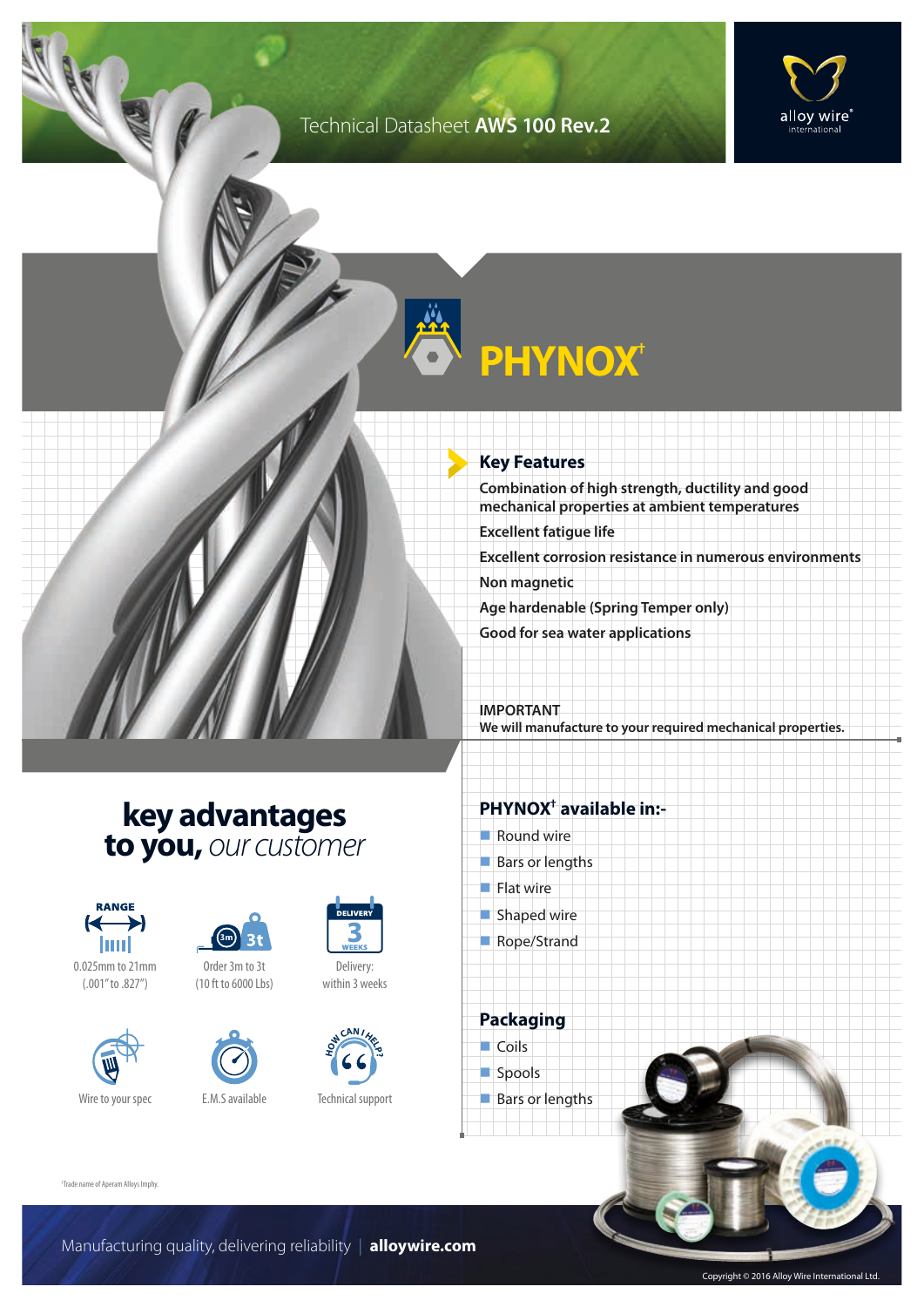### Technical Datasheet **AWS 100 Rev.2**



# **PHYNOX†**

#### **Key Features**

**Combination of high strength, ductility and good mechanical properties at ambient temperatures**

**Excellent fatigue life**

**Excellent corrosion resistance in numerous environments**

**Non magnetic**

**Age hardenable (Spring Temper only)**

**Good for sea water applications**

#### **IMPORTANT We will manufacture to your required mechanical properties.**

### **key advantages to you,** *our customer*



0.025mm to 21mm (.001" to .827")





Order 3m to 3t (10 ft to 6000 Lbs)





Delivery: within 3 weeks



Technical support

#### **PHYNOX† available in:-**

- $\blacksquare$  Round wire
- $Bars$  or lengths
- $\blacksquare$  Flat wire
- $\blacksquare$  Shaped wire
- Rope/Strand

**Packaging**  $\Box$  Coils spools  $\blacksquare$  Bars or lengths

† Trade name of Aperam Alloys Imphy.

Copyright © 2016 Alloy Wire International Ltd.